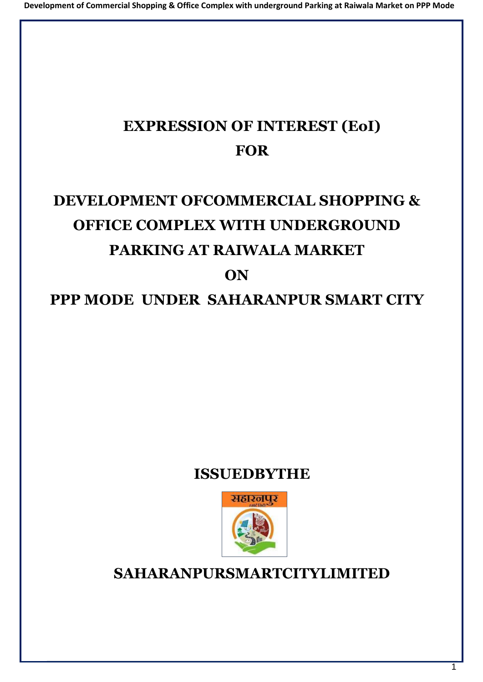# **EXPRESSION OF INTEREST (EoI) FOR**

# **DEVELOPMENT OFCOMMERCIAL SHOPPING & OFFICE COMPLEX WITH UNDERGROUND PARKING AT RAIWALA MARKET ON**

# **PPP MODE UNDER SAHARANPUR SMART CITY**

# **ISSUEDBYTHE**



**SAHARANPURSMARTCITYLIMITED**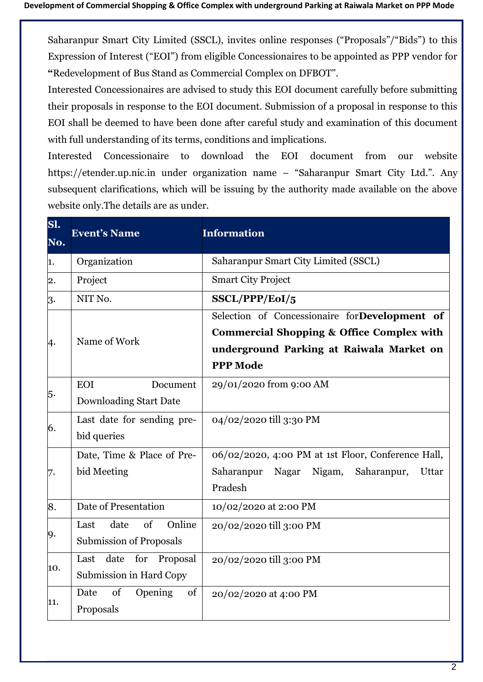Saharanpur Smart City Limited (SSCL), invites online responses ("Proposals"/"Bids") to this Expression of Interest ("EOI") from eligible Concessionaires to be appointed as PPP vendor for **"**Redevelopment of Bus Stand as Commercial Complex on DFBOT".

Interested Concessionaires are advised to study this EOI document carefully before submitting their proposals in response to the EOI document. Submission of a proposal in response to this EOI shall be deemed to have been done after careful study and examination of this document with full understanding of its terms, conditions and implications.

Interested Concessionaire to download the EOI document from our website https://etender.up.nic.in under organization name – "Saharanpur Smart City Ltd.". Any subsequent clarifications, which will be issuing by the authority made available on the above website only.The details are as under.

| Sl.<br>No. | <b>Event's Name</b>                                            | <b>Information</b>                                                                                                                                                   |  |
|------------|----------------------------------------------------------------|----------------------------------------------------------------------------------------------------------------------------------------------------------------------|--|
| 1.         | Organization                                                   | Saharanpur Smart City Limited (SSCL)                                                                                                                                 |  |
| 2.         | Project                                                        | <b>Smart City Project</b>                                                                                                                                            |  |
| 3.         | NIT No.                                                        | SSCL/PPP/EoI/5                                                                                                                                                       |  |
| 4.         | Name of Work                                                   | Selection of Concessionaire forDevelopment of<br><b>Commercial Shopping &amp; Office Complex with</b><br>underground Parking at Raiwala Market on<br><b>PPP Mode</b> |  |
| 5.         | <b>EOI</b><br>Document<br><b>Downloading Start Date</b>        | 29/01/2020 from 9:00 AM                                                                                                                                              |  |
| 6.         | Last date for sending pre-<br>bid queries                      | 04/02/2020 till 3:30 PM                                                                                                                                              |  |
| 7.         | Date, Time & Place of Pre-<br>bid Meeting                      | 06/02/2020, 4:00 PM at 1st Floor, Conference Hall,<br>Saharanpur<br>Nigam,<br>Saharanpur,<br>Nagar<br>Uttar<br>Pradesh                                               |  |
| 8.         | Date of Presentation                                           | 10/02/2020 at 2:00 PM                                                                                                                                                |  |
| 9.         | Online<br>of<br>date<br>Last<br><b>Submission of Proposals</b> | 20/02/2020 till 3:00 PM                                                                                                                                              |  |
| 10.        | Last<br>date<br>for<br>Proposal<br>Submission in Hard Copy     | 20/02/2020 till 3:00 PM                                                                                                                                              |  |
| 11.        | of<br>Date<br>Opening<br>of<br>Proposals                       | 20/02/2020 at 4:00 PM                                                                                                                                                |  |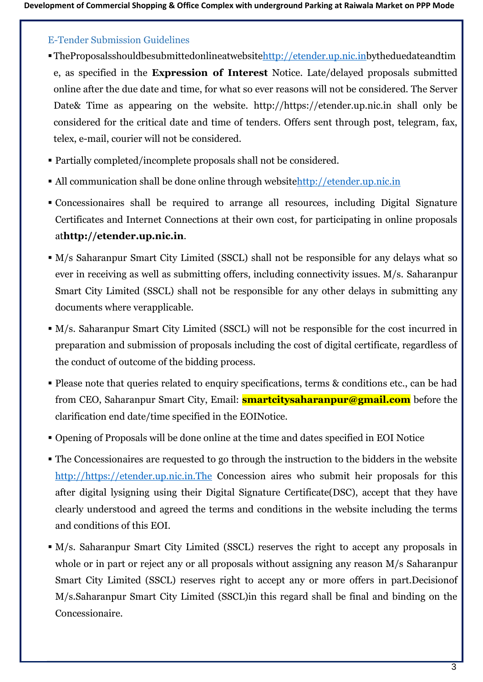#### E-Tender Submission Guidelines

- TheProposalsshouldbesubmittedonlineatwebsitehttp://etender.up.nic.inbytheduedateandtim e, as specified in the **Expression of Interest** Notice. Late/delayed proposals submitted online after the due date and time, for what so ever reasons will not be considered. The Server Date& Time as appearing on the website. [http://https://etender.up.nic.in s](http://etenders.kerala.gov.in/)hall only be considered for the critical date and time of tenders. Offers sent through post, telegram, fax, telex, e-mail, courier will not be considered.
- Partially completed/incomplete proposals shall not be considered.
- All communication shall be done online through websit[ehttp://etender.up.nic.in](http://etender.up.nic.in/)
- Concessionaires shall be required to arrange all resources, including Digital Signature Certificates and Internet Connections at their own cost, for participating in online proposals at**http://etender.up.nic.in**.
- M/s Saharanpur Smart City Limited (SSCL) shall not be responsible for any delays what so ever in receiving as well as submitting offers, including connectivity issues. M/s. Saharanpur Smart City Limited (SSCL) shall not be responsible for any other delays in submitting any documents where verapplicable.
- M/s. Saharanpur Smart City Limited (SSCL) will not be responsible for the cost incurred in preparation and submission of proposals including the cost of digital certificate, regardless of the conduct of outcome of the bidding process.
- Please note that queries related to enquiry specifications, terms & conditions etc., can be had from CEO, Saharanpur Smart City, Email: **smartcitysaharanpur@gmail.com** before the clarification end date/time specified in the EOINotice.
- Opening of Proposals will be done online at the time and dates specified in EOI Notice
- The Concessionaires are requested to go through the instruction to the bidders in the website [http://https://etender.up.nic.in.The](http://https/etender.up.nic.in.The) Concession aires who submit heir proposals for this after digital lysigning using their Digital Signature Certificate(DSC), accept that they have clearly understood and agreed the terms and conditions in the website including the terms and conditions of this EOI.
- M/s. Saharanpur Smart City Limited (SSCL) reserves the right to accept any proposals in whole or in part or reject any or all proposals without assigning any reason M/s Saharanpur Smart City Limited (SSCL) reserves right to accept any or more offers in part.Decisionof M/s.Saharanpur Smart City Limited (SSCL)in this regard shall be final and binding on the Concessionaire.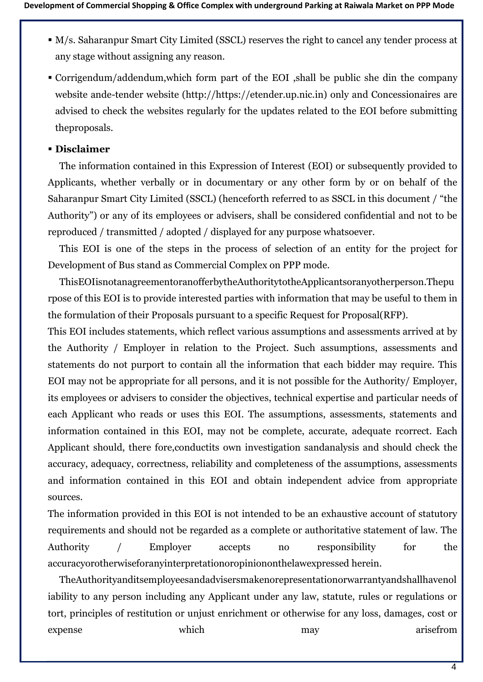- M/s. Saharanpur Smart City Limited (SSCL) reserves the right to cancel any tender process at any stage without assigning any reason.
- Corrigendum/addendum,which form part of the EOI ,shall be public she din the company website ande-tender website (http://https://etender.up.nic.in) only and Concessionaires are advised to check the websites regularly for the updates related to the EOI before submitting theproposals.

#### ▪ **Disclaimer**

The information contained in this Expression of Interest (EOI) or subsequently provided to Applicants, whether verbally or in documentary or any other form by or on behalf of the Saharanpur Smart City Limited (SSCL) (henceforth referred to as SSCL in this document / "the Authority") or any of its employees or advisers, shall be considered confidential and not to be reproduced / transmitted / adopted / displayed for any purpose whatsoever.

This EOI is one of the steps in the process of selection of an entity for the project for Development of Bus stand as Commercial Complex on PPP mode.

ThisEOIisnotanagreementoranofferbytheAuthoritytotheApplicantsoranyotherperson.Thepu rpose of this EOI is to provide interested parties with information that may be useful to them in the formulation of their Proposals pursuant to a specific Request for Proposal(RFP).

This EOI includes statements, which reflect various assumptions and assessments arrived at by the Authority / Employer in relation to the Project. Such assumptions, assessments and statements do not purport to contain all the information that each bidder may require. This EOI may not be appropriate for all persons, and it is not possible for the Authority/ Employer, its employees or advisers to consider the objectives, technical expertise and particular needs of each Applicant who reads or uses this EOI. The assumptions, assessments, statements and information contained in this EOI, may not be complete, accurate, adequate rcorrect. Each Applicant should, there fore,conductits own investigation sandanalysis and should check the accuracy, adequacy, correctness, reliability and completeness of the assumptions, assessments and information contained in this EOI and obtain independent advice from appropriate sources.

The information provided in this EOI is not intended to be an exhaustive account of statutory requirements and should not be regarded as a complete or authoritative statement of law. The Authority / Employer accepts no responsibility for the accuracyorotherwiseforanyinterpretationoropiniononthelawexpressed herein.

TheAuthorityanditsemployeesandadvisersmakenorepresentationorwarrantyandshallhavenol iability to any person including any Applicant under any law, statute, rules or regulations or tort, principles of restitution or unjust enrichment or otherwise for any loss, damages, cost or expense which which may arisefrom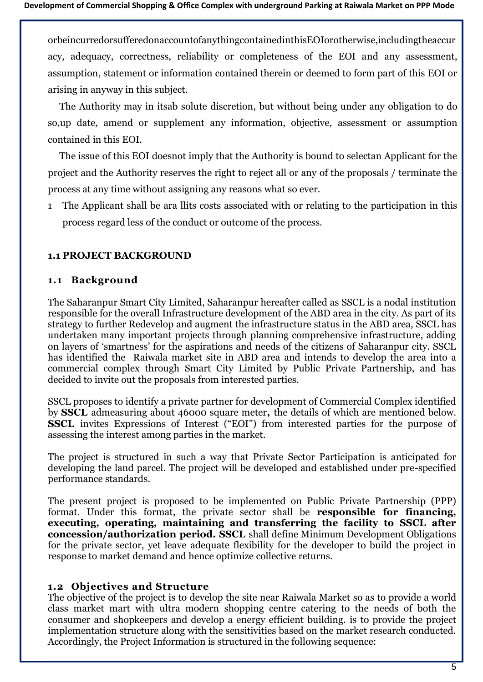orbeincurredorsufferedonaccountofanythingcontainedinthisEOIorotherwise,includingtheaccur acy, adequacy, correctness, reliability or completeness of the EOI and any assessment, assumption, statement or information contained therein or deemed to form part of this EOI or arising in anyway in this subject.

The Authority may in itsab solute discretion, but without being under any obligation to do so,up date, amend or supplement any information, objective, assessment or assumption contained in this EOI.

The issue of this EOI doesnot imply that the Authority is bound to selectan Applicant for the project and the Authority reserves the right to reject all or any of the proposals / terminate the process at any time without assigning any reasons what so ever.

1 The Applicant shall be ara llits costs associated with or relating to the participation in this process regard less of the conduct or outcome of the process.

#### **1.1 PROJECT BACKGROUND**

#### **1.1 Background**

The Saharanpur Smart City Limited, Saharanpur hereafter called as SSCL is a nodal institution responsible for the overall Infrastructure development of the ABD area in the city. As part of its strategy to further Redevelop and augment the infrastructure status in the ABD area, SSCL has undertaken many important projects through planning comprehensive infrastructure, adding on layers of 'smartness' for the aspirations and needs of the citizens of Saharanpur city. SSCL has identified the Raiwala market site in ABD area and intends to develop the area into a commercial complex through Smart City Limited by Public Private Partnership, and has decided to invite out the proposals from interested parties.

SSCL proposes to identify a private partner for development of Commercial Complex identified by **SSCL** admeasuring about 46000 square meter**,** the details of which are mentioned below. **SSCL** invites Expressions of Interest ("EOI") from interested parties for the purpose of assessing the interest among parties in the market.

The project is structured in such a way that Private Sector Participation is anticipated for developing the land parcel. The project will be developed and established under pre-specified performance standards.

The present project is proposed to be implemented on Public Private Partnership (PPP) format. Under this format, the private sector shall be **responsible for financing, executing, operating, maintaining and transferring the facility to SSCL after concession/authorization period. SSCL** shall define Minimum Development Obligations for the private sector, yet leave adequate flexibility for the developer to build the project in response to market demand and hence optimize collective returns.

#### **1.2 Objectives and Structure**

The objective of the project is to develop the site near Raiwala Market so as to provide a world class market mart with ultra modern shopping centre catering to the needs of both the consumer and shopkeepers and develop a energy efficient building. is to provide the project implementation structure along with the sensitivities based on the market research conducted. Accordingly, the Project Information is structured in the following sequence: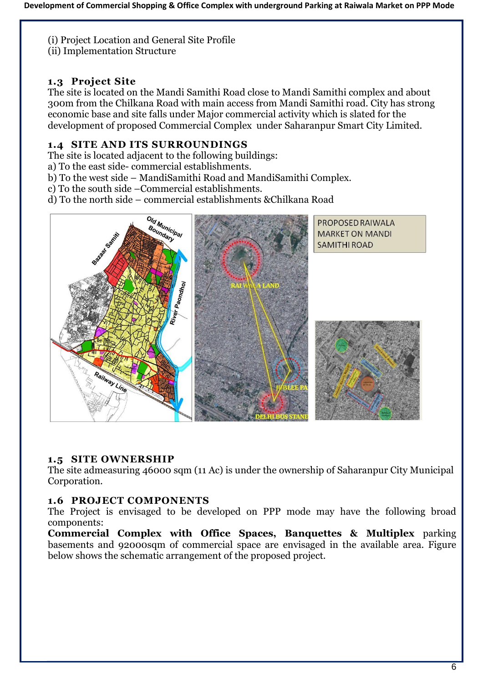(i) Project Location and General Site Profile

(ii) Implementation Structure

#### **1.3 Project Site**

The site is located on the Mandi Samithi Road close to Mandi Samithi complex and about 300m from the Chilkana Road with main access from Mandi Samithi road. City has strong economic base and site falls under Major commercial activity which is slated for the development of proposed Commercial Complex under Saharanpur Smart City Limited.

#### **1.4 SITE AND ITS SURROUNDINGS**

The site is located adjacent to the following buildings:

a) To the east side- commercial establishments.

b) To the west side – MandiSamithi Road and MandiSamithi Complex.

c) To the south side –Commercial establishments.

d) To the north side – commercial establishments &Chilkana Road



#### **1.5 SITE OWNERSHIP**

The site admeasuring 46000 sqm (11 Ac) is under the ownership of Saharanpur City Municipal Corporation.

#### **1.6 PROJECT COMPONENTS**

The Project is envisaged to be developed on PPP mode may have the following broad components:

**Commercial Complex with Office Spaces, Banquettes & Multiplex** parking basements and 92000sqm of commercial space are envisaged in the available area. Figure below shows the schematic arrangement of the proposed project.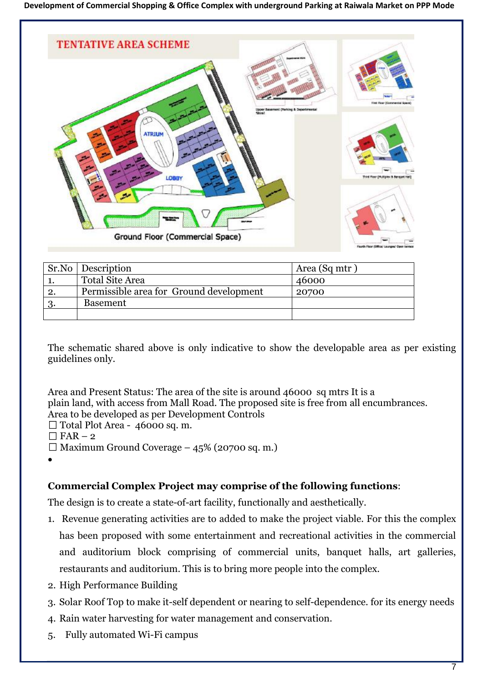

|    | Sr.No Description                       | Area (Sq mtr) |
|----|-----------------------------------------|---------------|
|    | <b>Total Site Area</b>                  | 46000         |
| 2. | Permissible area for Ground development | 20700         |
|    | <b>Basement</b>                         |               |
|    |                                         |               |

The schematic shared above is only indicative to show the developable area as per existing guidelines only.

Area and Present Status: The area of the site is around 46000 sq mtrs It is a plain land, with access from Mall Road. The proposed site is free from all encumbrances. Area to be developed as per Development Controls

- Total Plot Area 46000 sq. m.
- $\Box$  FAR 2
- $\Box$  Maximum Ground Coverage 45% (20700 sq. m.)

•

### **Commercial Complex Project may comprise of the following functions**:

The design is to create a state-of-art facility, functionally and aesthetically.

- 1. Revenue generating activities are to added to make the project viable. For this the complex has been proposed with some entertainment and recreational activities in the commercial and auditorium block comprising of commercial units, banquet halls, art galleries, restaurants and auditorium. This is to bring more people into the complex.
- 2. High Performance Building
- 3. Solar Roof Top to make it-self dependent or nearing to self-dependence. for its energy needs
- 4. Rain water harvesting for water management and conservation.
- 5. Fully automated Wi-Fi campus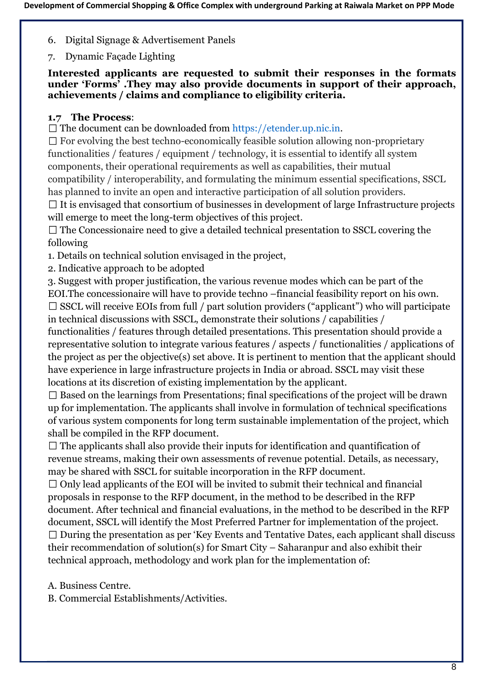- 6. Digital Signage & Advertisement Panels
- 7. Dynamic Façade Lighting

**Interested applicants are requested to submit their responses in the formats under 'Forms' .They may also provide documents in support of their approach, achievements / claims and compliance to eligibility criteria.**

#### **1.7 The Process**:

 $\Box$  The document can be downloaded from https://etender.up.nic.in.

 $\Box$  For evolving the best techno-economically feasible solution allowing non-proprietary functionalities / features / equipment / technology, it is essential to identify all system components, their operational requirements as well as capabilities, their mutual compatibility / interoperability, and formulating the minimum essential specifications, SSCL has planned to invite an open and interactive participation of all solution providers.

 $\Box$  It is envisaged that consortium of businesses in development of large Infrastructure projects will emerge to meet the long-term objectives of this project.

 $\Box$  The Concessionaire need to give a detailed technical presentation to SSCL covering the following

1. Details on technical solution envisaged in the project,

2. Indicative approach to be adopted

3. Suggest with proper justification, the various revenue modes which can be part of the EOI.The concessionaire will have to provide techno –financial feasibility report on his own.

 $\square$  SSCL will receive EOIs from full / part solution providers ("applicant") who will participate in technical discussions with SSCL, demonstrate their solutions / capabilities /

functionalities / features through detailed presentations. This presentation should provide a representative solution to integrate various features / aspects / functionalities / applications of the project as per the objective(s) set above. It is pertinent to mention that the applicant should have experience in large infrastructure projects in India or abroad. SSCL may visit these locations at its discretion of existing implementation by the applicant.

 $\Box$  Based on the learnings from Presentations; final specifications of the project will be drawn up for implementation. The applicants shall involve in formulation of technical specifications of various system components for long term sustainable implementation of the project, which shall be compiled in the RFP document.

 $\Box$  The applicants shall also provide their inputs for identification and quantification of revenue streams, making their own assessments of revenue potential. Details, as necessary, may be shared with SSCL for suitable incorporation in the RFP document.

 $\Box$  Only lead applicants of the EOI will be invited to submit their technical and financial proposals in response to the RFP document, in the method to be described in the RFP document. After technical and financial evaluations, in the method to be described in the RFP document, SSCL will identify the Most Preferred Partner for implementation of the project.  $\Box$  During the presentation as per 'Key Events and Tentative Dates, each applicant shall discuss their recommendation of solution(s) for Smart City – Saharanpur and also exhibit their technical approach, methodology and work plan for the implementation of:

A. Business Centre.

B. Commercial Establishments/Activities.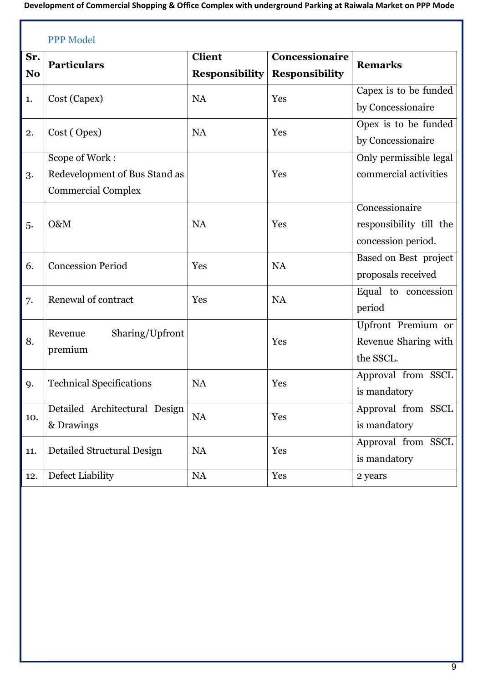|                | <b>PPP Model</b>                |                                 |                       |                         |  |  |
|----------------|---------------------------------|---------------------------------|-----------------------|-------------------------|--|--|
| Sr.            | <b>Particulars</b>              | Concessionaire<br><b>Client</b> |                       | <b>Remarks</b>          |  |  |
| N <sub>o</sub> |                                 | <b>Responsibility</b>           | <b>Responsibility</b> |                         |  |  |
| 1.             | Cost (Capex)                    | <b>NA</b>                       | Yes                   | Capex is to be funded   |  |  |
|                |                                 |                                 |                       | by Concessionaire       |  |  |
| 2.             | Cost (Opex)                     | <b>NA</b>                       | Yes                   | Opex is to be funded    |  |  |
|                |                                 |                                 |                       | by Concessionaire       |  |  |
|                | Scope of Work:                  |                                 |                       | Only permissible legal  |  |  |
| 3.             | Redevelopment of Bus Stand as   |                                 | Yes                   | commercial activities   |  |  |
|                | <b>Commercial Complex</b>       |                                 |                       |                         |  |  |
|                |                                 |                                 |                       | Concessionaire          |  |  |
| 5.             | O&M                             | <b>NA</b>                       | Yes                   | responsibility till the |  |  |
|                |                                 |                                 |                       | concession period.      |  |  |
| 6.             | <b>Concession Period</b>        | Yes                             | <b>NA</b>             | Based on Best project   |  |  |
|                |                                 |                                 |                       | proposals received      |  |  |
|                | Renewal of contract             | Yes                             | <b>NA</b>             | Equal to concession     |  |  |
| 7.             |                                 |                                 |                       | period                  |  |  |
|                | Revenue                         |                                 |                       | Upfront Premium or      |  |  |
| 8.             | Sharing/Upfront<br>premium      |                                 | Yes                   | Revenue Sharing with    |  |  |
|                |                                 |                                 |                       | the SSCL.               |  |  |
|                |                                 | <b>NA</b>                       | Yes                   | Approval from SSCL      |  |  |
| 9.             | <b>Technical Specifications</b> |                                 |                       | is mandatory            |  |  |
|                | Detailed Architectural Design   |                                 | Yes                   | Approval from SSCL      |  |  |
| 10.            | & Drawings                      | <b>NA</b>                       |                       | is mandatory            |  |  |
|                |                                 | <b>NA</b>                       | Yes                   | Approval from SSCL      |  |  |
| 11.            | Detailed Structural Design      |                                 |                       | is mandatory            |  |  |
| 12.            | Defect Liability                | <b>NA</b>                       | Yes                   | 2 years                 |  |  |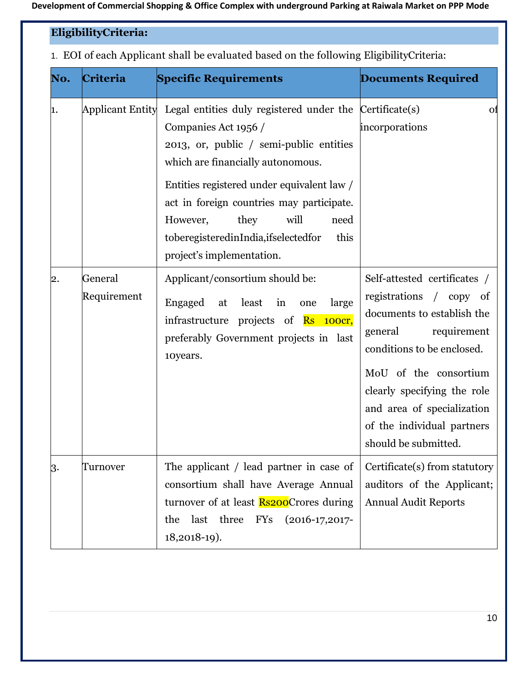#### **EligibilityCriteria:**

1. EOI of each Applicant shall be evaluated based on the following EligibilityCriteria:

| No. | Criteria                | <b>Specific Requirements</b>                                                                                                                                                                                                                                                                                                                                                | <b>Documents Required</b>                                                                                                                                                                                                                                                                 |  |  |
|-----|-------------------------|-----------------------------------------------------------------------------------------------------------------------------------------------------------------------------------------------------------------------------------------------------------------------------------------------------------------------------------------------------------------------------|-------------------------------------------------------------------------------------------------------------------------------------------------------------------------------------------------------------------------------------------------------------------------------------------|--|--|
| 1.  | <b>Applicant Entity</b> | Legal entities duly registered under the Certificate(s)<br>Companies Act 1956 /<br>2013, or, public / semi-public entities<br>which are financially autonomous.<br>Entities registered under equivalent law /<br>act in foreign countries may participate.<br>will<br>they<br>However,<br>need<br>toberegisteredinIndia, ifselectedfor<br>this<br>project's implementation. | <sub>of</sub><br>incorporations                                                                                                                                                                                                                                                           |  |  |
| 2.  | General<br>Requirement  | Applicant/consortium should be:<br>Engaged<br>least<br>in<br>large<br>at<br>one<br>infrastructure projects of <b>Rs</b> 100cr,<br>preferably Government projects in last<br>10years.                                                                                                                                                                                        | Self-attested certificates /<br>registrations / copy of<br>documents to establish the<br>requirement<br>general<br>conditions to be enclosed.<br>MoU of the consortium<br>clearly specifying the role<br>and area of specialization<br>of the individual partners<br>should be submitted. |  |  |
| 3.  | Turnover                | The applicant / lead partner in case of<br>consortium shall have Average Annual<br>turnover of at least <b>Rs200</b> Crores during<br>last three<br>$\rm FYs$<br>the<br>$(2016-17,2017-$<br>18,2018-19).                                                                                                                                                                    | Certificate(s) from statutory<br>auditors of the Applicant;<br><b>Annual Audit Reports</b>                                                                                                                                                                                                |  |  |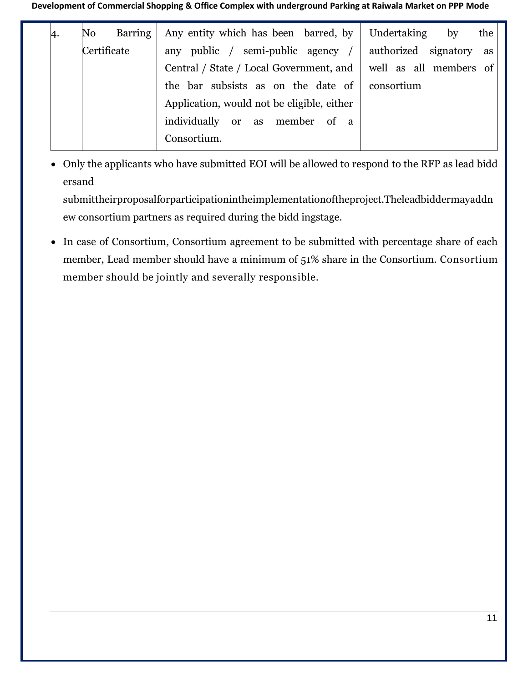| 4. | No          | Barring | Any entity which has been barred, by<br>Undertaking<br>$\mathbf{b}$<br>the |    |
|----|-------------|---------|----------------------------------------------------------------------------|----|
|    | Certificate |         | authorized signatory<br>any public / semi-public agency                    | as |
|    |             |         | well as all members of<br>Central / State / Local Government, and          |    |
|    |             |         | the bar subsists as on the date of<br>consortium                           |    |
|    |             |         | Application, would not be eligible, either                                 |    |
|    |             |         | individually or as member of a                                             |    |
|    |             |         | Consortium.                                                                |    |

• Only the applicants who have submitted EOI will be allowed to respond to the RFP as lead bidd ersand

submittheirproposalforparticipationintheimplementationoftheproject.Theleadbiddermayaddn ew consortium partners as required during the bidd ingstage.

• In case of Consortium, Consortium agreement to be submitted with percentage share of each member, Lead member should have a minimum of 51% share in the Consortium. Consortium member should be jointly and severally responsible.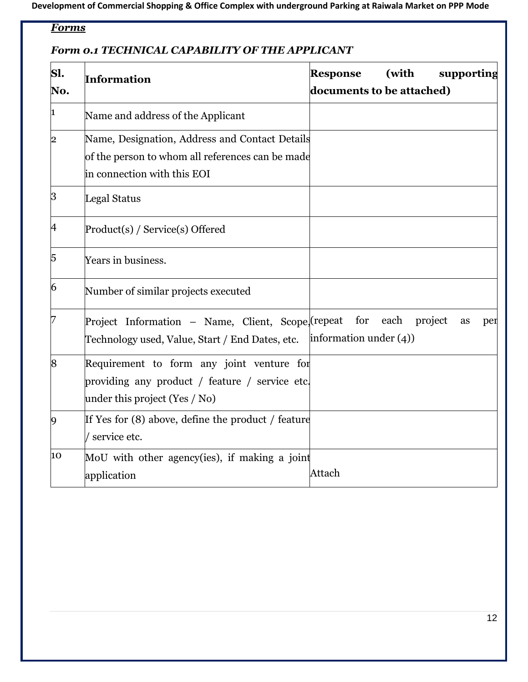## *Forms*

#### *Form 0.1 TECHNICAL CAPABILITY OF THE APPLICANT*

| Sl.<br>No.           | Information                                                                                                                       | (with<br>supporting<br><b>Response</b><br>documents to be attached) |  |
|----------------------|-----------------------------------------------------------------------------------------------------------------------------------|---------------------------------------------------------------------|--|
| 1                    | Name and address of the Applicant                                                                                                 |                                                                     |  |
| 2                    | Name, Designation, Address and Contact Details<br>of the person to whom all references can be made<br>in connection with this EOI |                                                                     |  |
| $\boldsymbol{\beta}$ | Legal Status                                                                                                                      |                                                                     |  |
| 4                    | Product(s) / Service(s) Offered                                                                                                   |                                                                     |  |
| 5                    | Years in business.                                                                                                                |                                                                     |  |
| 6                    | Number of similar projects executed                                                                                               |                                                                     |  |
| 7                    | Project Information - Name, Client, Scope, (repeat<br>Technology used, Value, Start / End Dates, etc.                             | for<br>each<br>project<br>as<br>per<br>information under $(4)$ )    |  |
| 8                    | Requirement to form any joint venture for<br>providing any product / feature / service etc.<br>under this project (Yes / No)      |                                                                     |  |
| $\overline{9}$       | If Yes for (8) above, define the product / feature<br>service etc.                                                                |                                                                     |  |
| 10                   | MoU with other agency(ies), if making a joint<br>application                                                                      | Attach                                                              |  |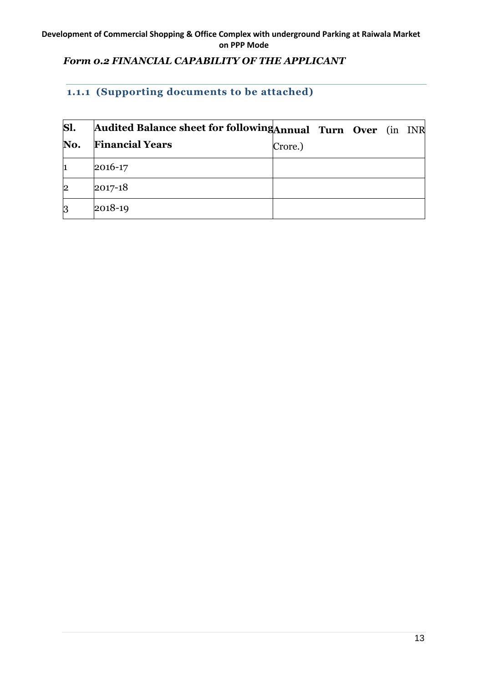#### *Form 0.2 FINANCIAL CAPABILITY OF THE APPLICANT*

#### **1.1.1 (Supporting documents to be attached)**

| Sl.                   | Audited Balance sheet for following Annual Turn Over (in INR |         |  |  |
|-----------------------|--------------------------------------------------------------|---------|--|--|
| No.                   | <b>Financial Years</b>                                       | Crore.) |  |  |
| 1                     | 2016-17                                                      |         |  |  |
| $\overline{\text{2}}$ | 2017-18                                                      |         |  |  |
| 3                     | 2018-19                                                      |         |  |  |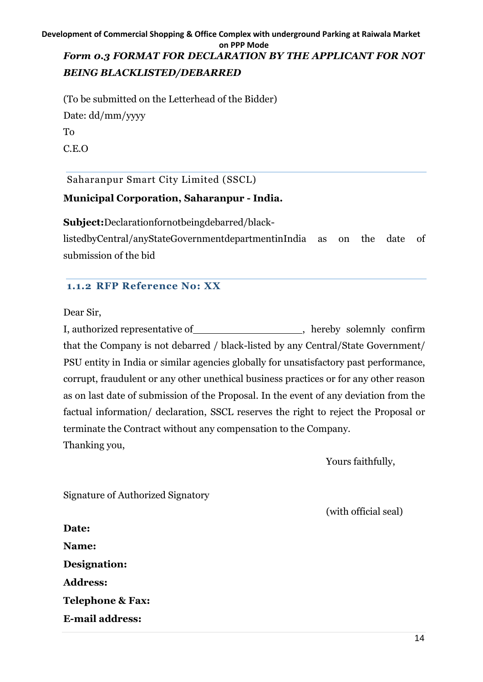#### **Development of Commercial Shopping & Office Complex with underground Parking at Raiwala Market on PPP Mode** *Form 0.3 FORMAT FOR DECLARATION BY THE APPLICANT FOR NOT BEING BLACKLISTED/DEBARRED*

(To be submitted on the Letterhead of the Bidder) Date: dd/mm/yyyy To C.E.O

Saharanpur Smart City Limited (SSCL)

#### **Municipal Corporation, Saharanpur - India.**

**Subject:**Declarationfornotbeingdebarred/black-

listedbyCentral/anyStateGovernmentdepartmentinIndia as on the date of submission of the bid

#### **1.1.2 RFP Reference No: XX**

Dear Sir,

I, authorized representative of , hereby solemnly confirm that the Company is not debarred / black-listed by any Central/State Government/ PSU entity in India or similar agencies globally for unsatisfactory past performance, corrupt, fraudulent or any other unethical business practices or for any other reason as on last date of submission of the Proposal. In the event of any deviation from the factual information/ declaration, SSCL reserves the right to reject the Proposal or terminate the Contract without any compensation to the Company. Thanking you,

Yours faithfully,

Signature of Authorized Signatory

(with official seal)

**Date: Name: Designation: Address: Telephone & Fax: E-mail address:**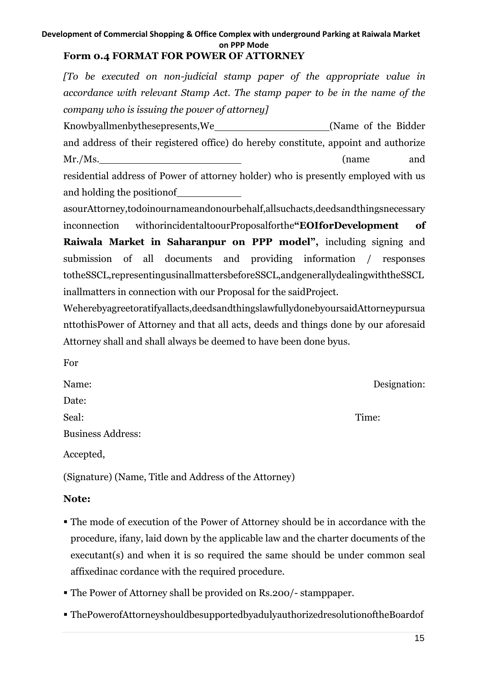#### **Form 0.4 FORMAT FOR POWER OF ATTORNEY**

*[To be executed on non-judicial stamp paper of the appropriate value in accordance with relevant Stamp Act. The stamp paper to be in the name of the company who is issuing the power of attorney]*

Knowbyallmenbythesepresents,We (Name of the Bidder and address of their registered office) do hereby constitute, appoint and authorize Mr./Ms. (name and residential address of Power of attorney holder) who is presently employed with us and holding the positionof

asourAttorney,todoinournameandonourbehalf,allsuchacts,deedsandthingsnecessary inconnection withorincidentaltoourProposalforthe**"EOIforDevelopment of Raiwala Market in Saharanpur on PPP model",** including signing and submission of all documents and providing information / responses totheSSCL,representingusinallmattersbeforeSSCL,andgenerallydealingwiththeSSCL inallmatters in connection with our Proposal for the saidProject.

Weherebyagreetoratifyallacts,deedsandthingslawfullydonebyoursaidAttorneypursua nttothisPower of Attorney and that all acts, deeds and things done by our aforesaid Attorney shall and shall always be deemed to have been done byus.

| For                      |              |
|--------------------------|--------------|
| Name:                    | Designation: |
| Date:                    |              |
| Seal:                    | Time:        |
| <b>Business Address:</b> |              |
| Accepted,                |              |

(Signature) (Name, Title and Address of the Attorney)

#### **Note:**

- The mode of execution of the Power of Attorney should be in accordance with the procedure, ifany, laid down by the applicable law and the charter documents of the executant(s) and when it is so required the same should be under common seal affixedinac cordance with the required procedure.
- The Power of Attorney shall be provided on Rs.200/- stamppaper.
- ThePowerofAttorneyshouldbesupportedbyadulyauthorizedresolutionoftheBoardof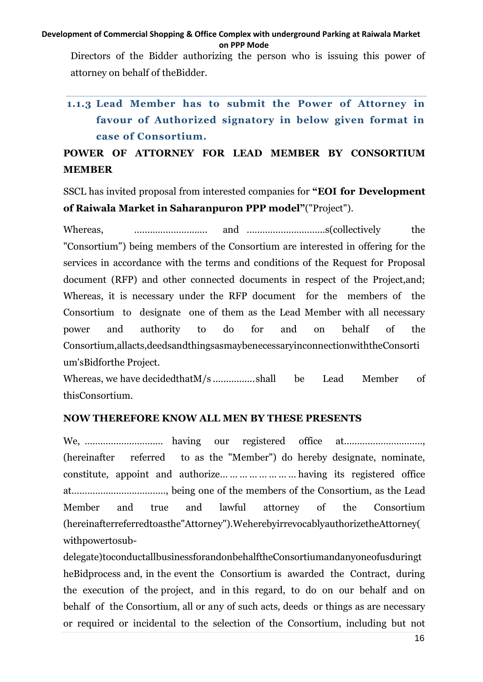Directors of the Bidder authorizing the person who is issuing this power of attorney on behalf of theBidder.

# **1.1.3 Lead Member has to submit the Power of Attorney in favour of Authorized signatory in below given format in case of Consortium.**

## **POWER OF ATTORNEY FOR LEAD MEMBER BY CONSORTIUM MEMBER**

SSCL has invited proposal from interested companies for **"EOI for Development of Raiwala Market in Saharanpuron PPP model"**("Project").

Whereas, ………………………. and …………………………s(collectively the "Consortium") being members of the Consortium are interested in offering for the services in accordance with the terms and conditions of the Request for Proposal document (RFP) and other connected documents in respect of the Project,and; Whereas, it is necessary under the RFP document for the members of the Consortium to designate one of them as the Lead Member with all necessary power and authority to do for and on behalf of the Consortium,allacts,deedsandthingsasmaybenecessaryinconnectionwiththeConsorti um'sBidforthe Project.

Whereas, we have decidedthatM/s .................shall be Lead Member of thisConsortium.

#### **NOW THEREFORE KNOW ALL MEN BY THESE PRESENTS**

We, ………………………… having our registered office at…………………………, (hereinafter referred to as the "Member") do hereby designate, nominate, constitute, appoint and authorize… … … … … … … … having its registered office at………………………………, being one of the members of the Consortium, as the Lead Member and true and lawful attorney of the Consortium (hereinafterreferredtoasthe"Attorney").WeherebyirrevocablyauthorizetheAttorney( withpowertosub-

delegate)toconductallbusinessforandonbehalftheConsortiumandanyoneofusduringt heBidprocess and, in the event the Consortium is awarded the Contract, during the execution of the project, and in this regard, to do on our behalf and on behalf of the Consortium, all or any of such acts, deeds or things as are necessary or required or incidental to the selection of the Consortium, including but not